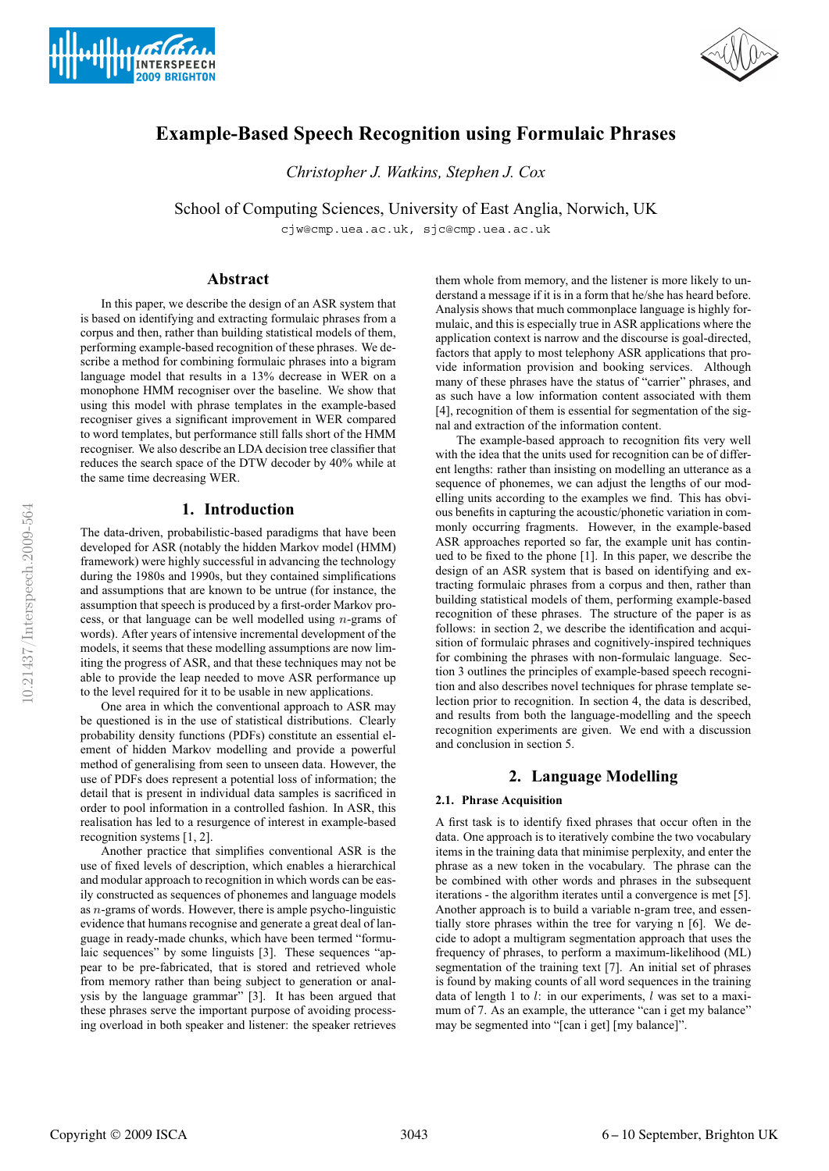



# **Example-Based Speech Recognition using Formulaic Phrases**

*Christopher J. Watkins, Stephen J. Cox*

School of Computing Sciences, University of East Anglia, Norwich, UK

cjw@cmp.uea.ac.uk, sjc@cmp.uea.ac.uk

# **Abstract**

In this paper, we describe the design of an ASR system that is based on identifying and extracting formulaic phrases from a corpus and then, rather than building statistical models of them, performing example-based recognition of these phrases. We describe a method for combining formulaic phrases into a bigram language model that results in a 13% decrease in WER on a monophone HMM recogniser over the baseline. We show that using this model with phrase templates in the example-based recogniser gives a significant improvement in WER compared to word templates, but performance still falls short of the HMM recogniser. We also describe an LDA decision tree classifier that reduces the search space of the DTW decoder by 40% while at the same time decreasing WER.

# **1. Introduction**

The data-driven, probabilistic-based paradigms that have been developed for ASR (notably the hidden Markov model (HMM) framework) were highly successful in advancing the technology during the 1980s and 1990s, but they contained simplifications and assumptions that are known to be untrue (for instance, the assumption that speech is produced by a first-order Markov process, or that language can be well modelled using  $n$ -grams of words). After years of intensive incremental development of the models, it seems that these modelling assumptions are now limiting the progress of ASR, and that these techniques may not be able to provide the leap needed to move ASR performance up to the level required for it to be usable in new applications.

One area in which the conventional approach to ASR may be questioned is in the use of statistical distributions. Clearly probability density functions (PDFs) constitute an essential element of hidden Markov modelling and provide a powerful method of generalising from seen to unseen data. However, the use of PDFs does represent a potential loss of information; the detail that is present in individual data samples is sacrificed in order to pool information in a controlled fashion. In ASR, this realisation has led to a resurgence of interest in example-based recognition systems [1, 2].

Another practice that simplifies conventional ASR is the use of fixed levels of description, which enables a hierarchical and modular approach to recognition in which words can be easily constructed as sequences of phonemes and language models as n-grams of words. However, there is ample psycho-linguistic evidence that humans recognise and generate a great deal of language in ready-made chunks, which have been termed "formulaic sequences" by some linguists [3]. These sequences "appear to be pre-fabricated, that is stored and retrieved whole from memory rather than being subject to generation or analysis by the language grammar" [3]. It has been argued that these phrases serve the important purpose of avoiding processing overload in both speaker and listener: the speaker retrieves

them whole from memory, and the listener is more likely to understand a message if it is in a form that he/she has heard before. Analysis shows that much commonplace language is highly formulaic, and this is especially true in ASR applications where the application context is narrow and the discourse is goal-directed, factors that apply to most telephony ASR applications that provide information provision and booking services. Although many of these phrases have the status of "carrier" phrases, and as such have a low information content associated with them [4], recognition of them is essential for segmentation of the signal and extraction of the information content.

The example-based approach to recognition fits very well with the idea that the units used for recognition can be of different lengths: rather than insisting on modelling an utterance as a sequence of phonemes, we can adjust the lengths of our modelling units according to the examples we find. This has obvious benefits in capturing the acoustic/phonetic variation in commonly occurring fragments. However, in the example-based ASR approaches reported so far, the example unit has continued to be fixed to the phone [1]. In this paper, we describe the design of an ASR system that is based on identifying and extracting formulaic phrases from a corpus and then, rather than building statistical models of them, performing example-based recognition of these phrases. The structure of the paper is as follows: in section 2, we describe the identification and acquisition of formulaic phrases and cognitively-inspired techniques for combining the phrases with non-formulaic language. Section 3 outlines the principles of example-based speech recognition and also describes novel techniques for phrase template selection prior to recognition. In section 4, the data is described, and results from both the language-modelling and the speech recognition experiments are given. We end with a discussion and conclusion in section 5.

# **2. Language Modelling**

# **2.1. Phrase Acquisition**

A first task is to identify fixed phrases that occur often in the data. One approach is to iteratively combine the two vocabulary items in the training data that minimise perplexity, and enter the phrase as a new token in the vocabulary. The phrase can the be combined with other words and phrases in the subsequent iterations - the algorithm iterates until a convergence is met [5]. Another approach is to build a variable n-gram tree, and essentially store phrases within the tree for varying n [6]. We decide to adopt a multigram segmentation approach that uses the frequency of phrases, to perform a maximum-likelihood (ML) segmentation of the training text [7]. An initial set of phrases is found by making counts of all word sequences in the training data of length 1 to  $l$ : in our experiments,  $l$  was set to a maximum of 7. As an example, the utterance "can i get my balance" may be segmented into "[can i get] [my balance]".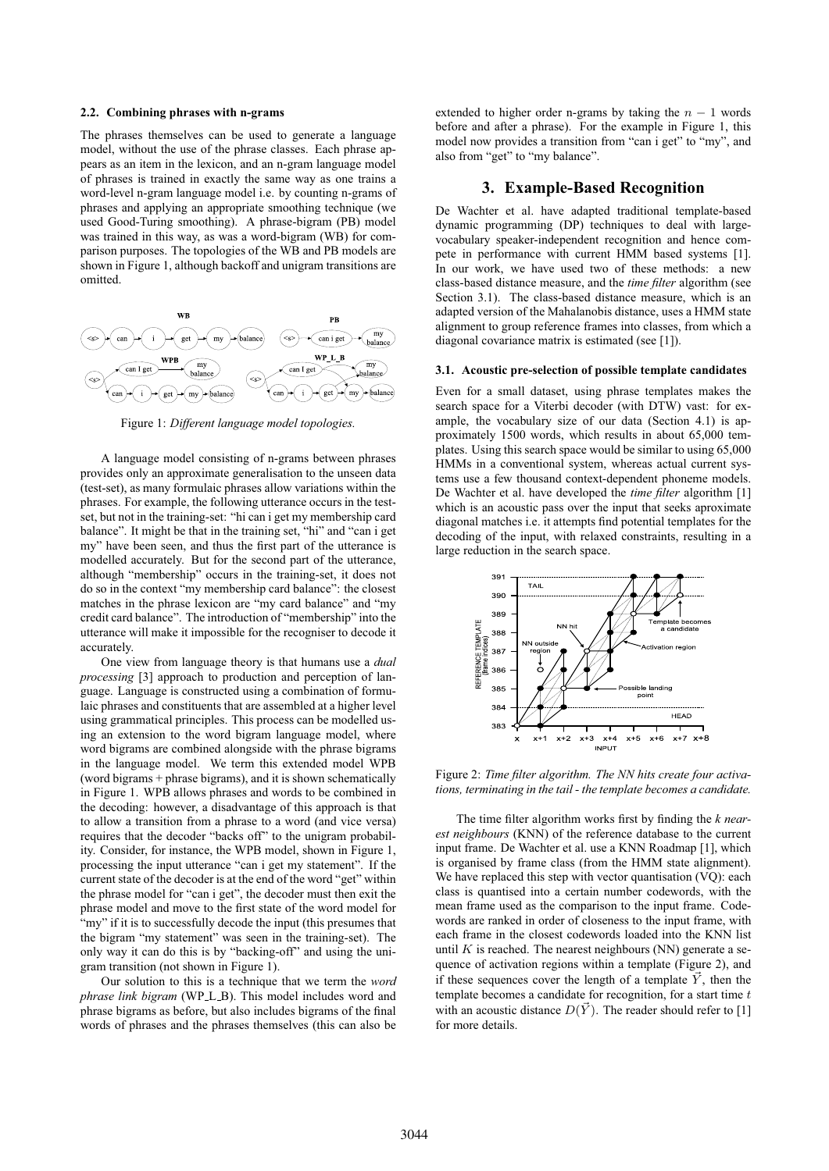### **2.2. Combining phrases with n-grams**

The phrases themselves can be used to generate a language model, without the use of the phrase classes. Each phrase appears as an item in the lexicon, and an n-gram language model of phrases is trained in exactly the same way as one trains a word-level n-gram language model i.e. by counting n-grams of phrases and applying an appropriate smoothing technique (we used Good-Turing smoothing). A phrase-bigram (PB) model was trained in this way, as was a word-bigram (WB) for comparison purposes. The topologies of the WB and PB models are shown in Figure 1, although backoff and unigram transitions are omitted.



Figure 1: *Different language model topologies.*

A language model consisting of n-grams between phrases provides only an approximate generalisation to the unseen data (test-set), as many formulaic phrases allow variations within the phrases. For example, the following utterance occurs in the testset, but not in the training-set: "hi can i get my membership card balance". It might be that in the training set, "hi" and "can i get my" have been seen, and thus the first part of the utterance is modelled accurately. But for the second part of the utterance, although "membership" occurs in the training-set, it does not do so in the context "my membership card balance": the closest matches in the phrase lexicon are "my card balance" and "my credit card balance". The introduction of "membership" into the utterance will make it impossible for the recogniser to decode it accurately.

One view from language theory is that humans use a *dual processing* [3] approach to production and perception of language. Language is constructed using a combination of formulaic phrases and constituents that are assembled at a higher level using grammatical principles. This process can be modelled using an extension to the word bigram language model, where word bigrams are combined alongside with the phrase bigrams in the language model. We term this extended model WPB (word bigrams + phrase bigrams), and it is shown schematically in Figure 1. WPB allows phrases and words to be combined in the decoding: however, a disadvantage of this approach is that to allow a transition from a phrase to a word (and vice versa) requires that the decoder "backs off" to the unigram probability. Consider, for instance, the WPB model, shown in Figure 1, processing the input utterance "can i get my statement". If the current state of the decoder is at the end of the word "get" within the phrase model for "can i get", the decoder must then exit the phrase model and move to the first state of the word model for "my" if it is to successfully decode the input (this presumes that the bigram "my statement" was seen in the training-set). The only way it can do this is by "backing-off" and using the unigram transition (not shown in Figure 1).

Our solution to this is a technique that we term the *word phrase link bigram* (WP<sub>-L-B</sub>). This model includes word and phrase bigrams as before, but also includes bigrams of the final words of phrases and the phrases themselves (this can also be extended to higher order n-grams by taking the  $n - 1$  words before and after a phrase). For the example in Figure 1, this model now provides a transition from "can i get" to "my", and also from "get" to "my balance".

# **3. Example-Based Recognition**

De Wachter et al. have adapted traditional template-based dynamic programming (DP) techniques to deal with largevocabulary speaker-independent recognition and hence compete in performance with current HMM based systems [1]. In our work, we have used two of these methods: a new class-based distance measure, and the *time filter* algorithm (see Section 3.1). The class-based distance measure, which is an adapted version of the Mahalanobis distance, uses a HMM state alignment to group reference frames into classes, from which a diagonal covariance matrix is estimated (see [1]).

#### **3.1. Acoustic pre-selection of possible template candidates**

Even for a small dataset, using phrase templates makes the search space for a Viterbi decoder (with DTW) vast: for example, the vocabulary size of our data (Section 4.1) is approximately 1500 words, which results in about 65,000 templates. Using this search space would be similar to using 65,000 HMMs in a conventional system, whereas actual current systems use a few thousand context-dependent phoneme models. De Wachter et al. have developed the *time filter* algorithm [1] which is an acoustic pass over the input that seeks aproximate diagonal matches i.e. it attempts find potential templates for the decoding of the input, with relaxed constraints, resulting in a large reduction in the search space.



Figure 2: *Time filter algorithm. The NN hits create four activations, terminating in the tail - the template becomes a candidate.*

The time filter algorithm works first by finding the *k nearest neighbours* (KNN) of the reference database to the current input frame. De Wachter et al. use a KNN Roadmap [1], which is organised by frame class (from the HMM state alignment). We have replaced this step with vector quantisation (VQ): each class is quantised into a certain number codewords, with the mean frame used as the comparison to the input frame. Codewords are ranked in order of closeness to the input frame, with each frame in the closest codewords loaded into the KNN list until  $K$  is reached. The nearest neighbours (NN) generate a sequence of activation regions within a template (Figure 2), and if these sequences cover the length of a template  $\vec{Y}$ , then the template becomes a candidate for recognition, for a start time  $t$ with an acoustic distance  $D(\vec{Y})$ . The reader should refer to [1] for more details.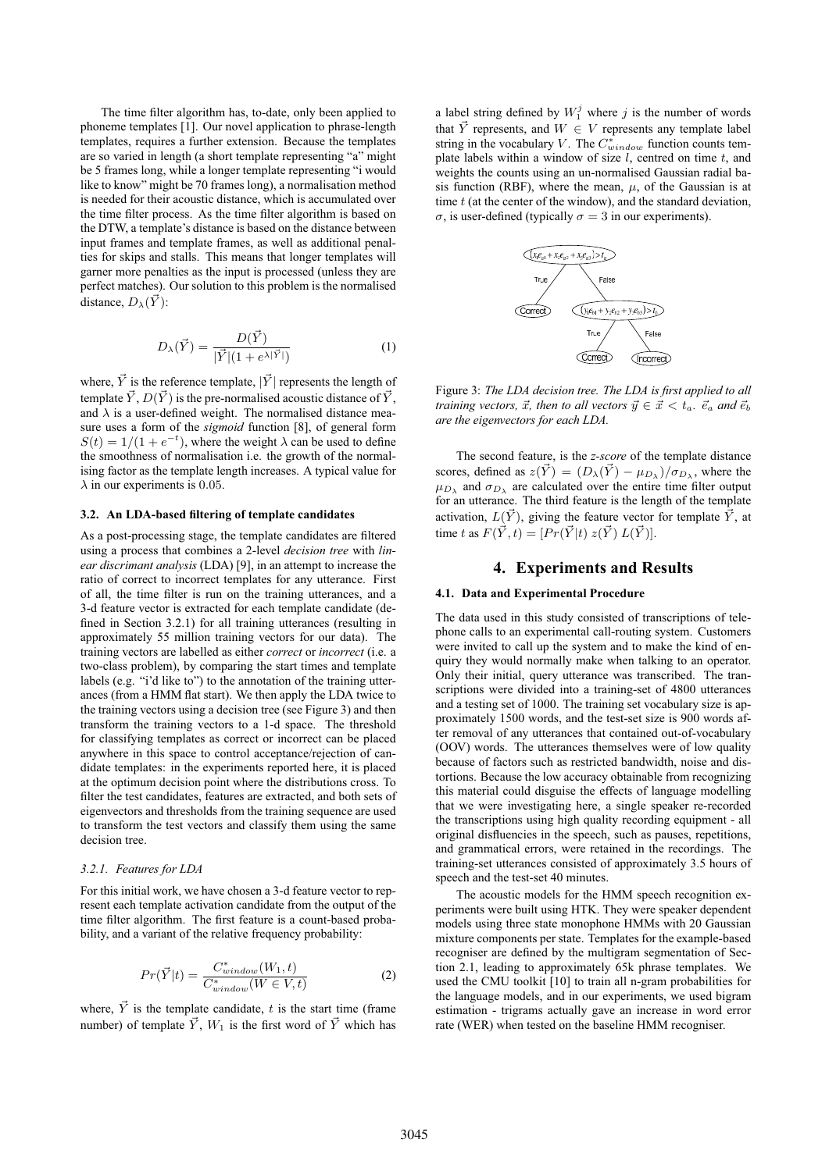The time filter algorithm has, to-date, only been applied to phoneme templates [1]. Our novel application to phrase-length templates, requires a further extension. Because the templates are so varied in length (a short template representing "a" might be 5 frames long, while a longer template representing "i would like to know" might be 70 frames long), a normalisation method is needed for their acoustic distance, which is accumulated over the time filter process. As the time filter algorithm is based on the DTW, a template's distance is based on the distance between input frames and template frames, as well as additional penalties for skips and stalls. This means that longer templates will garner more penalties as the input is processed (unless they are perfect matches). Our solution to this problem is the normalised distance,  $D_{\lambda}(\vec{Y})$ :

$$
D_{\lambda}(\vec{Y}) = \frac{D(\vec{Y})}{|\vec{Y}|(1 + e^{\lambda |\vec{Y}|})}
$$
(1)

where,  $\vec{Y}$  is the reference template,  $|\vec{Y}|$  represents the length of template  $\vec{Y}$ ,  $D(\vec{Y})$  is the pre-normalised acoustic distance of  $\vec{Y}$ , and  $\lambda$  is a user-defined weight. The normalised distance measure uses a form of the *sigmoid* function [8], of general form  $S(t) = 1/(1 + e^{-t})$ , where the weight  $\lambda$  can be used to define the smoothness of normalisation i.e. the growth of the normalising factor as the template length increases. A typical value for  $\lambda$  in our experiments is 0.05.

#### **3.2. An LDA-based filtering of template candidates**

As a post-processing stage, the template candidates are filtered using a process that combines a 2-level *decision tree* with *linear discrimant analysis* (LDA) [9], in an attempt to increase the ratio of correct to incorrect templates for any utterance. First of all, the time filter is run on the training utterances, and a 3-d feature vector is extracted for each template candidate (defined in Section 3.2.1) for all training utterances (resulting in approximately 55 million training vectors for our data). The training vectors are labelled as either *correct* or *incorrect* (i.e. a two-class problem), by comparing the start times and template labels (e.g. "i'd like to") to the annotation of the training utterances (from a HMM flat start). We then apply the LDA twice to the training vectors using a decision tree (see Figure 3) and then transform the training vectors to a 1-d space. The threshold for classifying templates as correct or incorrect can be placed anywhere in this space to control acceptance/rejection of candidate templates: in the experiments reported here, it is placed at the optimum decision point where the distributions cross. To filter the test candidates, features are extracted, and both sets of eigenvectors and thresholds from the training sequence are used to transform the test vectors and classify them using the same decision tree.

#### *3.2.1. Features for LDA*

For this initial work, we have chosen a 3-d feature vector to represent each template activation candidate from the output of the time filter algorithm. The first feature is a count-based probability, and a variant of the relative frequency probability:

$$
Pr(\vec{Y}|t) = \frac{C_{window}^*(W_1, t)}{C_{window}^*(W \in V, t)}
$$
(2)

where,  $\vec{Y}$  is the template candidate, t is the start time (frame number) of template  $\vec{Y}$ ,  $W_1$  is the first word of  $\vec{Y}$  which has

a label string defined by  $W_1^j$  where j is the number of words that  $\overrightarrow{Y}$  represents, and  $W \in V$  represents any template label string in the vocabulary V. The  $C^*_{window}$  function counts template labels within a window of size  $l$ , centred on time  $t$ , and weights the counts using an un-normalised Gaussian radial basis function (RBF), where the mean,  $\mu$ , of the Gaussian is at time  $t$  (at the center of the window), and the standard deviation, σ, is user-defined (typically  $σ = 3$  in our experiments).



Figure 3: *The LDA decision tree. The LDA is first applied to all training vectors,*  $\vec{x}$ , then to all vectors  $\vec{y} \in \vec{x} < t_a$ .  $\vec{e}_a$  and  $\vec{e}_b$ *are the eigenvectors for each LDA.*

The second feature, is the *z-score* of the template distance scores, defined as  $z(\vec{Y}) = (D_{\lambda}(\vec{Y}) - \mu_{D_{\lambda}})/\sigma_{D_{\lambda}}$ , where the  $\mu_{D_\lambda}$  and  $\sigma_{D_\lambda}$  are calculated over the entire time filter output for an utterance. The third feature is the length of the template activation,  $L(\vec{Y})$ , giving the feature vector for template  $\vec{Y}$ , at time t as  $F(\vec{Y}, t) = [Pr(\vec{Y}|t) z(\vec{Y}) L(\vec{Y})].$ 

# **4. Experiments and Results**

#### **4.1. Data and Experimental Procedure**

The data used in this study consisted of transcriptions of telephone calls to an experimental call-routing system. Customers were invited to call up the system and to make the kind of enquiry they would normally make when talking to an operator. Only their initial, query utterance was transcribed. The transcriptions were divided into a training-set of 4800 utterances and a testing set of 1000. The training set vocabulary size is approximately 1500 words, and the test-set size is 900 words after removal of any utterances that contained out-of-vocabulary (OOV) words. The utterances themselves were of low quality because of factors such as restricted bandwidth, noise and distortions. Because the low accuracy obtainable from recognizing this material could disguise the effects of language modelling that we were investigating here, a single speaker re-recorded the transcriptions using high quality recording equipment - all original disfluencies in the speech, such as pauses, repetitions, and grammatical errors, were retained in the recordings. The training-set utterances consisted of approximately 3.5 hours of speech and the test-set 40 minutes.

The acoustic models for the HMM speech recognition experiments were built using HTK. They were speaker dependent models using three state monophone HMMs with 20 Gaussian mixture components per state. Templates for the example-based recogniser are defined by the multigram segmentation of Section 2.1, leading to approximately 65k phrase templates. We used the CMU toolkit [10] to train all n-gram probabilities for the language models, and in our experiments, we used bigram estimation - trigrams actually gave an increase in word error rate (WER) when tested on the baseline HMM recogniser.